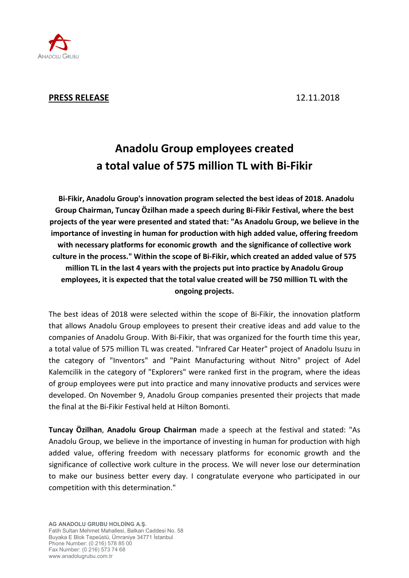

## **PRESS RELEASE** 12.11.2018

# **Anadolu Group employees created a total value of 575 million TL with Bi-Fikir**

**Bi-Fikir, Anadolu Group's innovation program selected the best ideas of 2018. Anadolu Group Chairman, Tuncay Özilhan made a speech during Bi-Fikir Festival, where the best projects of the year were presented and stated that: "As Anadolu Group, we believe in the importance of investing in human for production with high added value, offering freedom with necessary platforms for economic growth and the significance of collective work culture in the process." Within the scope of Bi-Fikir, which created an added value of 575 million TL in the last 4 years with the projects put into practice by Anadolu Group employees, it is expected that the total value created will be 750 million TL with the ongoing projects.** 

The best ideas of 2018 were selected within the scope of Bi-Fikir, the innovation platform that allows Anadolu Group employees to present their creative ideas and add value to the companies of Anadolu Group. With Bi-Fikir, that was organized for the fourth time this year, a total value of 575 million TL was created. "Infrared Car Heater" project of Anadolu Isuzu in the category of "Inventors" and "Paint Manufacturing without Nitro" project of Adel Kalemcilik in the category of "Explorers" were ranked first in the program, where the ideas of group employees were put into practice and many innovative products and services were developed. On November 9, Anadolu Group companies presented their projects that made the final at the Bi-Fikir Festival held at Hilton Bomonti.

**Tuncay Özilhan**, **Anadolu Group Chairman** made a speech at the festival and stated: "As Anadolu Group, we believe in the importance of investing in human for production with high added value, offering freedom with necessary platforms for economic growth and the significance of collective work culture in the process. We will never lose our determination to make our business better every day. I congratulate everyone who participated in our competition with this determination."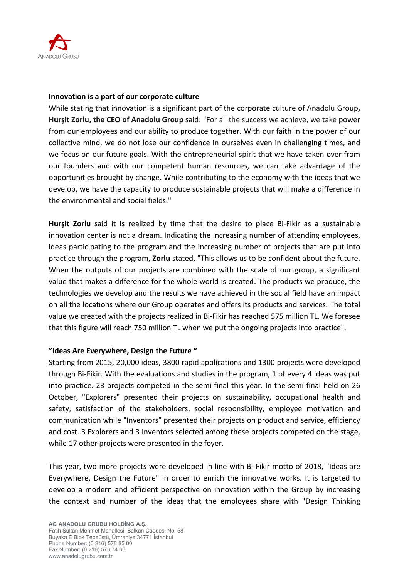

#### **Innovation is a part of our corporate culture**

While stating that innovation is a significant part of the corporate culture of Anadolu Group**, Hurşit Zorlu, the CEO of Anadolu Group** said: "For all the success we achieve, we take power from our employees and our ability to produce together. With our faith in the power of our collective mind, we do not lose our confidence in ourselves even in challenging times, and we focus on our future goals. With the entrepreneurial spirit that we have taken over from our founders and with our competent human resources, we can take advantage of the opportunities brought by change. While contributing to the economy with the ideas that we develop, we have the capacity to produce sustainable projects that will make a difference in the environmental and social fields."

**Hurşit Zorlu** said it is realized by time that the desire to place Bi-Fikir as a sustainable innovation center is not a dream. Indicating the increasing number of attending employees, ideas participating to the program and the increasing number of projects that are put into practice through the program, **Zorlu** stated, "This allows us to be confident about the future. When the outputs of our projects are combined with the scale of our group, a significant value that makes a difference for the whole world is created. The products we produce, the technologies we develop and the results we have achieved in the social field have an impact on all the locations where our Group operates and offers its products and services. The total value we created with the projects realized in Bi-Fikir has reached 575 million TL. We foresee that this figure will reach 750 million TL when we put the ongoing projects into practice".

### **"Ideas Are Everywhere, Design the Future "**

Starting from 2015, 20,000 ideas, 3800 rapid applications and 1300 projects were developed through Bi-Fikir. With the evaluations and studies in the program, 1 of every 4 ideas was put into practice. 23 projects competed in the semi-final this year. In the semi-final held on 26 October, "Explorers" presented their projects on sustainability, occupational health and safety, satisfaction of the stakeholders, social responsibility, employee motivation and communication while "Inventors" presented their projects on product and service, efficiency and cost. 3 Explorers and 3 Inventors selected among these projects competed on the stage, while 17 other projects were presented in the foyer.

This year, two more projects were developed in line with Bi-Fikir motto of 2018, "Ideas are Everywhere, Design the Future" in order to enrich the innovative works. It is targeted to develop a modern and efficient perspective on innovation within the Group by increasing the context and number of the ideas that the employees share with "Design Thinking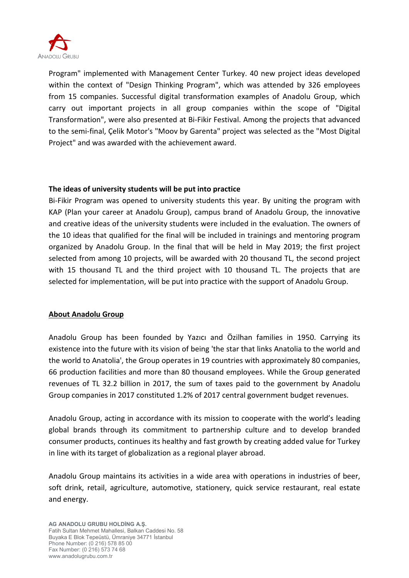

Program" implemented with Management Center Turkey. 40 new project ideas developed within the context of "Design Thinking Program", which was attended by 326 employees from 15 companies. Successful digital transformation examples of Anadolu Group, which carry out important projects in all group companies within the scope of "Digital Transformation", were also presented at Bi-Fikir Festival. Among the projects that advanced to the semi-final, Çelik Motor's "Moov by Garenta" project was selected as the "Most Digital Project" and was awarded with the achievement award.

#### **The ideas of university students will be put into practice**

Bi-Fikir Program was opened to university students this year. By uniting the program with KAP (Plan your career at Anadolu Group), campus brand of Anadolu Group, the innovative and creative ideas of the university students were included in the evaluation. The owners of the 10 ideas that qualified for the final will be included in trainings and mentoring program organized by Anadolu Group. In the final that will be held in May 2019; the first project selected from among 10 projects, will be awarded with 20 thousand TL, the second project with 15 thousand TL and the third project with 10 thousand TL. The projects that are selected for implementation, will be put into practice with the support of Anadolu Group.

### **About Anadolu Group**

Anadolu Group has been founded by Yazıcı and Özilhan families in 1950. Carrying its existence into the future with its vision of being 'the star that links Anatolia to the world and the world to Anatolia', the Group operates in 19 countries with approximately 80 companies, 66 production facilities and more than 80 thousand employees. While the Group generated revenues of TL 32.2 billion in 2017, the sum of taxes paid to the government by Anadolu Group companies in 2017 constituted 1.2% of 2017 central government budget revenues.

Anadolu Group, acting in accordance with its mission to cooperate with the world's leading global brands through its commitment to partnership culture and to develop branded consumer products, continues its healthy and fast growth by creating added value for Turkey in line with its target of globalization as a regional player abroad.

Anadolu Group maintains its activities in a wide area with operations in industries of beer, soft drink, retail, agriculture, automotive, stationery, quick service restaurant, real estate and energy.